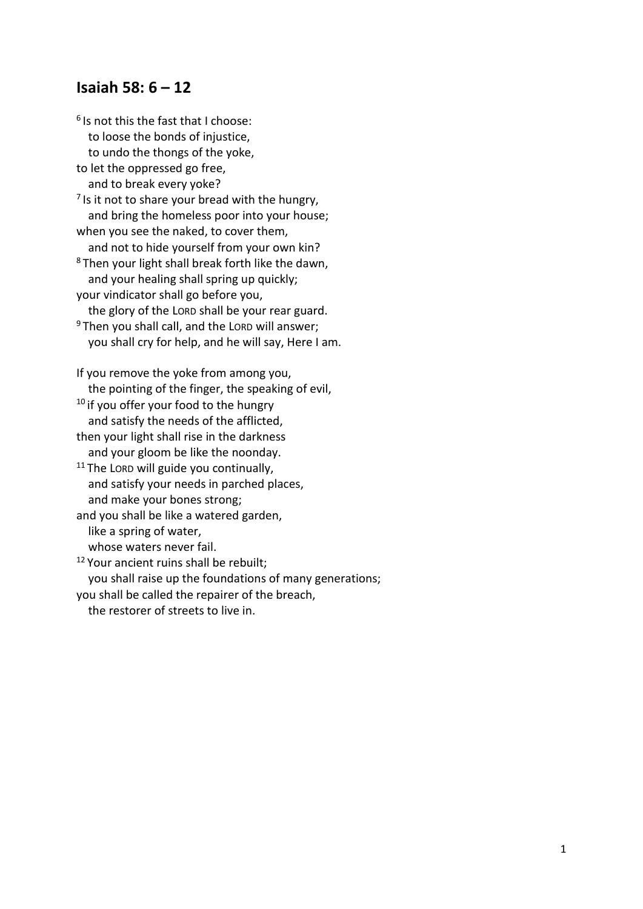# **Isaiah 58: 6 – 12**

6 Is not this the fast that I choose: to loose the bonds of injustice, to undo the thongs of the yoke, to let the oppressed go free, and to break every yoke? <sup>7</sup> Is it not to share your bread with the hungry, and bring the homeless poor into your house; when you see the naked, to cover them, and not to hide yourself from your own kin? <sup>8</sup> Then your light shall break forth like the dawn, and your healing shall spring up quickly; your vindicator shall go before you, the glory of the LORD shall be your rear guard. <sup>9</sup> Then you shall call, and the LORD will answer; you shall cry for help, and he will say, Here I am. If you remove the yoke from among you, the pointing of the finger, the speaking of evil, <sup>10</sup> if you offer your food to the hungry and satisfy the needs of the afflicted, then your light shall rise in the darkness and your gloom be like the noonday. <sup>11</sup> The LORD will guide you continually, and satisfy your needs in parched places, and make your bones strong; and you shall be like a watered garden, like a spring of water, whose waters never fail. <sup>12</sup> Your ancient ruins shall be rebuilt; you shall raise up the foundations of many generations; you shall be called the repairer of the breach, the restorer of streets to live in.

1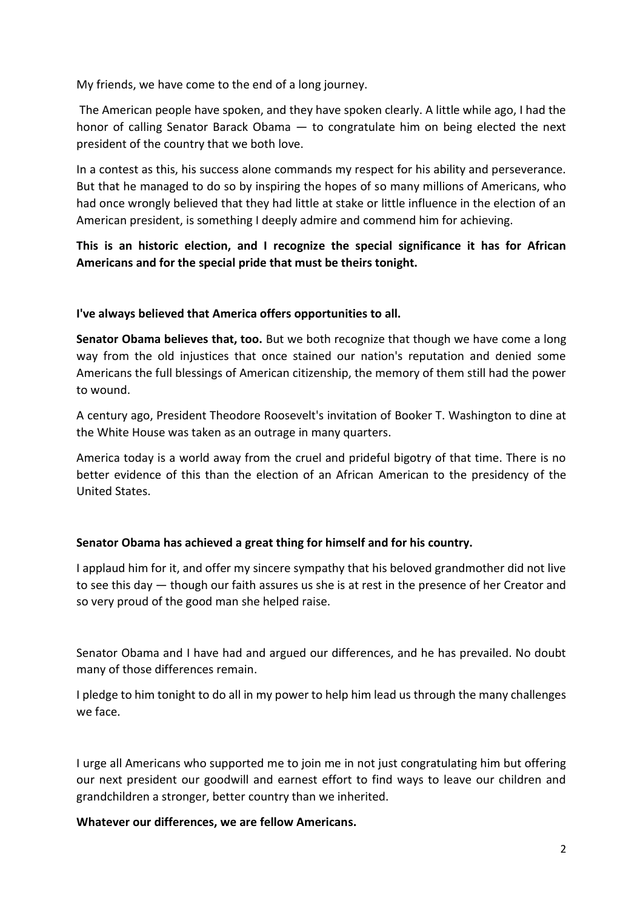My friends, we have come to the end of a long journey.

The American people have spoken, and they have spoken clearly. A little while ago, I had the honor of calling Senator Barack Obama — to congratulate him on being elected the next president of the country that we both love.

In a contest as this, his success alone commands my respect for his ability and perseverance. But that he managed to do so by inspiring the hopes of so many millions of Americans, who had once wrongly believed that they had little at stake or little influence in the election of an American president, is something I deeply admire and commend him for achieving.

**This is an historic election, and I recognize the special significance it has for African Americans and for the special pride that must be theirs tonight.**

## **I've always believed that America offers opportunities to all.**

**Senator Obama believes that, too.** But we both recognize that though we have come a long way from the old injustices that once stained our nation's reputation and denied some Americans the full blessings of American citizenship, the memory of them still had the power to wound.

A century ago, President Theodore Roosevelt's invitation of Booker T. Washington to dine at the White House was taken as an outrage in many quarters.

America today is a world away from the cruel and prideful bigotry of that time. There is no better evidence of this than the election of an African American to the presidency of the United States.

## **Senator Obama has achieved a great thing for himself and for his country.**

I applaud him for it, and offer my sincere sympathy that his beloved grandmother did not live to see this day — though our faith assures us she is at rest in the presence of her Creator and so very proud of the good man she helped raise.

Senator Obama and I have had and argued our differences, and he has prevailed. No doubt many of those differences remain.

I pledge to him tonight to do all in my power to help him lead us through the many challenges we face.

I urge all Americans who supported me to join me in not just congratulating him but offering our next president our goodwill and earnest effort to find ways to leave our children and grandchildren a stronger, better country than we inherited.

**Whatever our differences, we are fellow Americans.**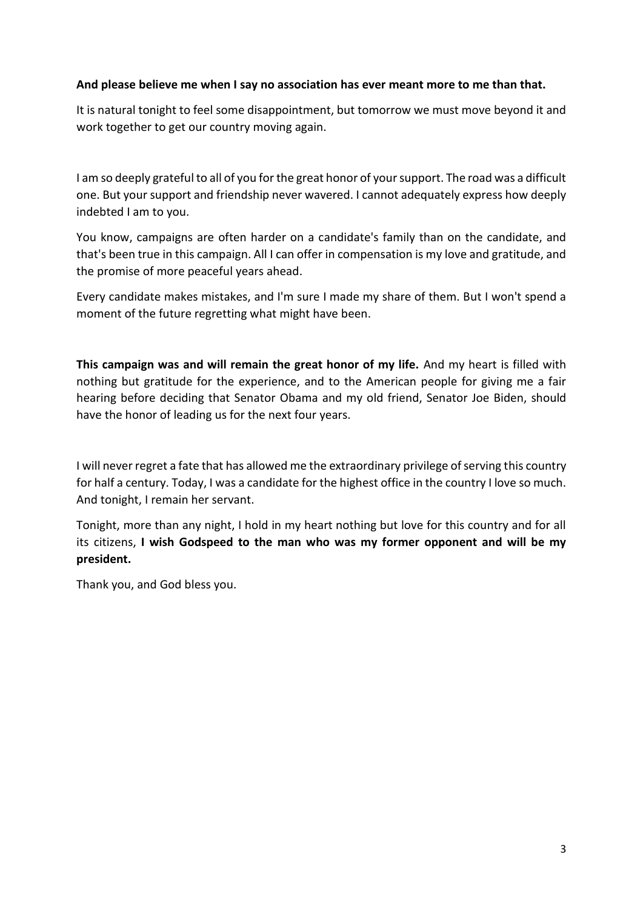### **And please believe me when I say no association has ever meant more to me than that.**

It is natural tonight to feel some disappointment, but tomorrow we must move beyond it and work together to get our country moving again.

I am so deeply grateful to all of you for the great honor of your support. The road was a difficult one. But your support and friendship never wavered. I cannot adequately express how deeply indebted I am to you.

You know, campaigns are often harder on a candidate's family than on the candidate, and that's been true in this campaign. All I can offer in compensation is my love and gratitude, and the promise of more peaceful years ahead.

Every candidate makes mistakes, and I'm sure I made my share of them. But I won't spend a moment of the future regretting what might have been.

**This campaign was and will remain the great honor of my life.** And my heart is filled with nothing but gratitude for the experience, and to the American people for giving me a fair hearing before deciding that Senator Obama and my old friend, Senator Joe Biden, should have the honor of leading us for the next four years.

I will never regret a fate that has allowed me the extraordinary privilege of serving this country for half a century. Today, I was a candidate for the highest office in the country I love so much. And tonight, I remain her servant.

Tonight, more than any night, I hold in my heart nothing but love for this country and for all its citizens, **I wish Godspeed to the man who was my former opponent and will be my president.**

Thank you, and God bless you.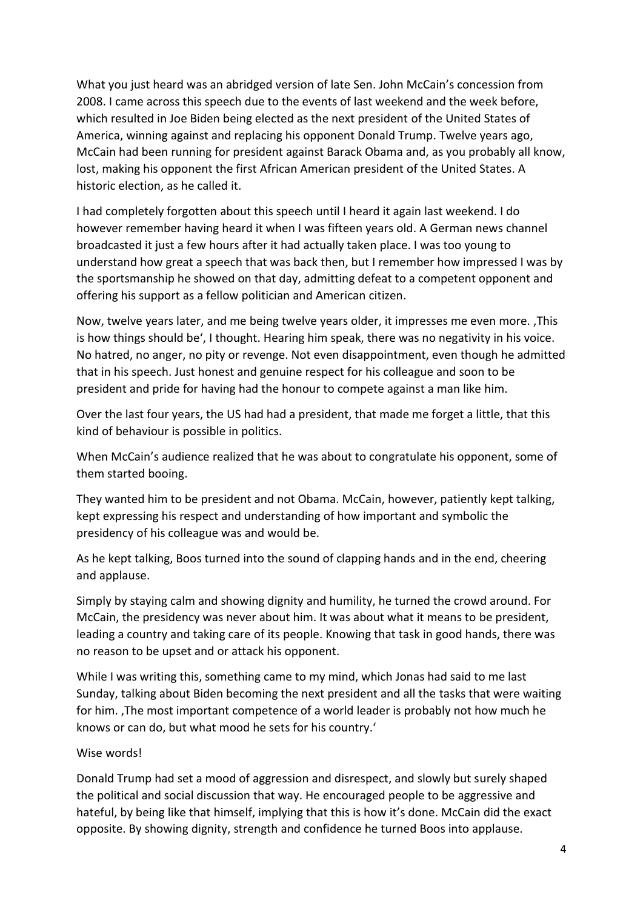What you just heard was an abridged version of late Sen. John McCain's concession from 2008. I came across this speech due to the events of last weekend and the week before, which resulted in Joe Biden being elected as the next president of the United States of America, winning against and replacing his opponent Donald Trump. Twelve years ago, McCain had been running for president against Barack Obama and, as you probably all know, lost, making his opponent the first African American president of the United States. A historic election, as he called it.

I had completely forgotten about this speech until I heard it again last weekend. I do however remember having heard it when I was fifteen years old. A German news channel broadcasted it just a few hours after it had actually taken place. I was too young to understand how great a speech that was back then, but I remember how impressed I was by the sportsmanship he showed on that day, admitting defeat to a competent opponent and offering his support as a fellow politician and American citizen.

Now, twelve years later, and me being twelve years older, it impresses me even more. This is how things should be', I thought. Hearing him speak, there was no negativity in his voice. No hatred, no anger, no pity or revenge. Not even disappointment, even though he admitted that in his speech. Just honest and genuine respect for his colleague and soon to be president and pride for having had the honour to compete against a man like him.

Over the last four years, the US had had a president, that made me forget a little, that this kind of behaviour is possible in politics.

When McCain's audience realized that he was about to congratulate his opponent, some of them started booing.

They wanted him to be president and not Obama. McCain, however, patiently kept talking, kept expressing his respect and understanding of how important and symbolic the presidency of his colleague was and would be.

As he kept talking, Boos turned into the sound of clapping hands and in the end, cheering and applause.

Simply by staying calm and showing dignity and humility, he turned the crowd around. For McCain, the presidency was never about him. It was about what it means to be president, leading a country and taking care of its people. Knowing that task in good hands, there was no reason to be upset and or attack his opponent.

While I was writing this, something came to my mind, which Jonas had said to me last Sunday, talking about Biden becoming the next president and all the tasks that were waiting for him. The most important competence of a world leader is probably not how much he knows or can do, but what mood he sets for his country.'

#### Wise words!

Donald Trump had set a mood of aggression and disrespect, and slowly but surely shaped the political and social discussion that way. He encouraged people to be aggressive and hateful, by being like that himself, implying that this is how it's done. McCain did the exact opposite. By showing dignity, strength and confidence he turned Boos into applause.